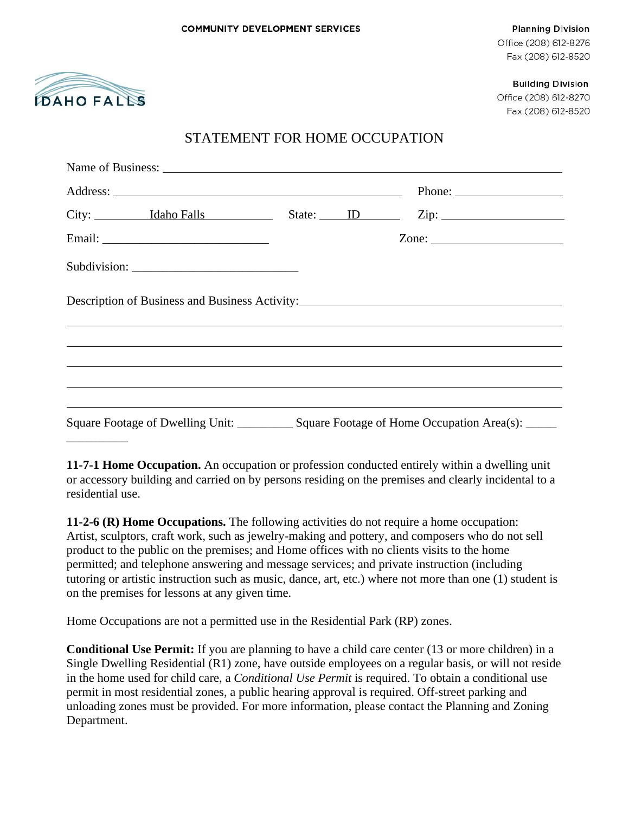

**Planning Division** Office (208) 612-8276 Fax (208) 612-8520

**Building Division** 

Office (208) 612-8270 Fax (208) 612-8520

## STATEMENT FOR HOME OCCUPATION

|  |  | City: Idaho Falls State: ID Zip:                                                  |  |
|--|--|-----------------------------------------------------------------------------------|--|
|  |  | Zone: $\qquad \qquad$                                                             |  |
|  |  |                                                                                   |  |
|  |  |                                                                                   |  |
|  |  | Description of Business and Business Activity: __________________________________ |  |
|  |  | ,我们也不会有什么。""我们的人,我们也不会不会不会不会不会不会不会不会。""我们的人,我们也不会不会不会不会不会不会不会不会。""我们的人,我们也不会不会不会  |  |

**11-7-1 Home Occupation.** An occupation or profession conducted entirely within a dwelling unit or accessory building and carried on by persons residing on the premises and clearly incidental to a residential use.

**11-2-6 (R) Home Occupations.** The following activities do not require a home occupation: Artist, sculptors, craft work, such as jewelry-making and pottery, and composers who do not sell product to the public on the premises; and Home offices with no clients visits to the home permitted; and telephone answering and message services; and private instruction (including tutoring or artistic instruction such as music, dance, art, etc.) where not more than one (1) student is on the premises for lessons at any given time.

Home Occupations are not a permitted use in the Residential Park (RP) zones.

**Conditional Use Permit:** If you are planning to have a child care center (13 or more children) in a Single Dwelling Residential (R1) zone, have outside employees on a regular basis, or will not reside in the home used for child care, a *Conditional Use Permit* is required. To obtain a conditional use permit in most residential zones, a public hearing approval is required. Off-street parking and unloading zones must be provided. For more information, please contact the Planning and Zoning Department.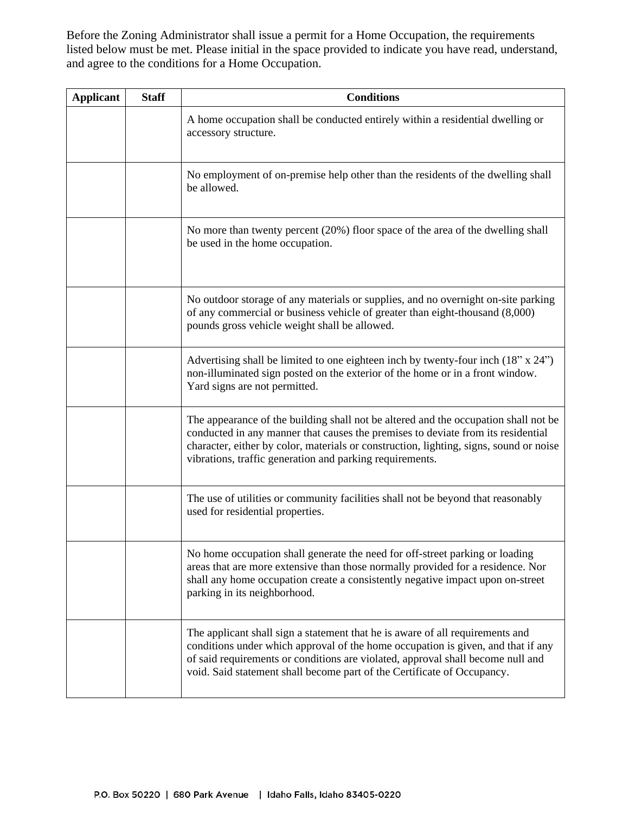Before the Zoning Administrator shall issue a permit for a Home Occupation, the requirements listed below must be met. Please initial in the space provided to indicate you have read, understand, and agree to the conditions for a Home Occupation.

| <b>Applicant</b> | <b>Staff</b> | <b>Conditions</b>                                                                                                                                                                                                                                                                                                               |
|------------------|--------------|---------------------------------------------------------------------------------------------------------------------------------------------------------------------------------------------------------------------------------------------------------------------------------------------------------------------------------|
|                  |              | A home occupation shall be conducted entirely within a residential dwelling or<br>accessory structure.                                                                                                                                                                                                                          |
|                  |              | No employment of on-premise help other than the residents of the dwelling shall<br>be allowed.                                                                                                                                                                                                                                  |
|                  |              | No more than twenty percent (20%) floor space of the area of the dwelling shall<br>be used in the home occupation.                                                                                                                                                                                                              |
|                  |              | No outdoor storage of any materials or supplies, and no overnight on-site parking<br>of any commercial or business vehicle of greater than eight-thousand (8,000)<br>pounds gross vehicle weight shall be allowed.                                                                                                              |
|                  |              | Advertising shall be limited to one eighteen inch by twenty-four inch $(18" x 24")$<br>non-illuminated sign posted on the exterior of the home or in a front window.<br>Yard signs are not permitted.                                                                                                                           |
|                  |              | The appearance of the building shall not be altered and the occupation shall not be<br>conducted in any manner that causes the premises to deviate from its residential<br>character, either by color, materials or construction, lighting, signs, sound or noise<br>vibrations, traffic generation and parking requirements.   |
|                  |              | The use of utilities or community facilities shall not be beyond that reasonably<br>used for residential properties.                                                                                                                                                                                                            |
|                  |              | No home occupation shall generate the need for off-street parking or loading<br>areas that are more extensive than those normally provided for a residence. Nor<br>shall any home occupation create a consistently negative impact upon on-street<br>parking in its neighborhood.                                               |
|                  |              | The applicant shall sign a statement that he is aware of all requirements and<br>conditions under which approval of the home occupation is given, and that if any<br>of said requirements or conditions are violated, approval shall become null and<br>void. Said statement shall become part of the Certificate of Occupancy. |